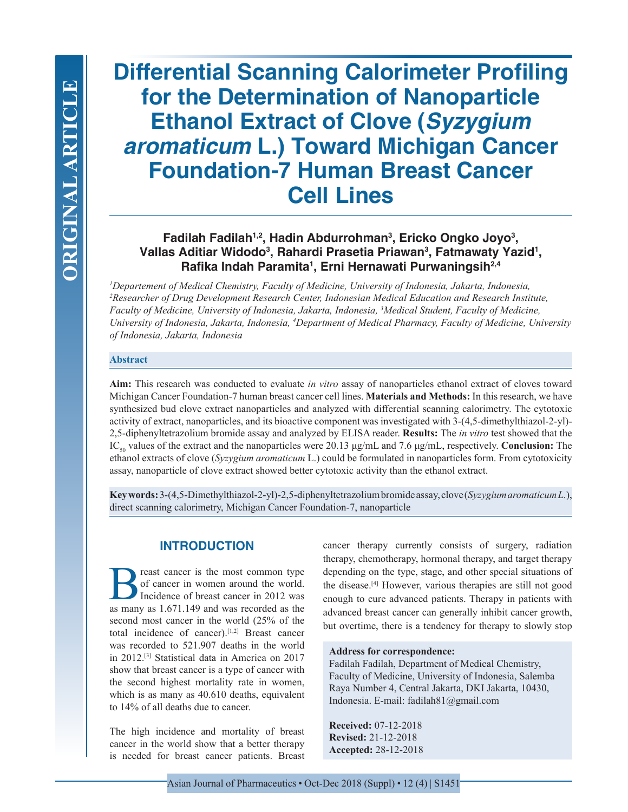# **Differential Scanning Calorimeter Profiling for the Determination of Nanoparticle Ethanol Extract of Clove (***Syzygium aromaticum* **L.) Toward Michigan Cancer Foundation-7 Human Breast Cancer Cell Lines**

## **Fadilah Fadilah1,2, Hadin Abdurrohman3 , Ericko Ongko Joyo3 , Vallas Aditiar Widodo3 , Rahardi Prasetia Priawan3 , Fatmawaty Yazid1 , Rafika Indah Paramita1 , Erni Hernawati Purwaningsih2,4**

*1 Departement of Medical Chemistry, Faculty of Medicine, University of Indonesia, Jakarta, Indonesia, 2 Researcher of Drug Development Research Center, Indonesian Medical Education and Research Institute, Faculty of Medicine, University of Indonesia, Jakarta, Indonesia, 3 Medical Student, Faculty of Medicine, University of Indonesia, Jakarta, Indonesia, 4 Department of Medical Pharmacy, Faculty of Medicine, University of Indonesia, Jakarta, Indonesia*

#### **Abstract**

**Aim:** This research was conducted to evaluate *in vitro* assay of nanoparticles ethanol extract of cloves toward Michigan Cancer Foundation-7 human breast cancer cell lines. **Materials and Methods:** In this research, we have synthesized bud clove extract nanoparticles and analyzed with differential scanning calorimetry. The cytotoxic activity of extract, nanoparticles, and its bioactive component was investigated with 3-(4,5-dimethylthiazol-2-yl)- 2,5-diphenyltetrazolium bromide assay and analyzed by ELISA reader. **Results:** The *in vitro* test showed that the IC<sub>50</sub> values of the extract and the nanoparticles were 20.13 μg/mL and 7.6 μg/mL, respectively. **Conclusion:** The ethanol extracts of clove (*Syzygium aromaticum* L.) could be formulated in nanoparticles form. From cytotoxicity assay, nanoparticle of clove extract showed better cytotoxic activity than the ethanol extract.

**Key words:** 3-(4,5-Dimethylthiazol-2-yl)-2,5-diphenyltetrazolium bromide assay, clove (*Syzygium aromaticum L.*), direct scanning calorimetry, Michigan Cancer Foundation-7, nanoparticle

## **INTRODUCTION**

**B** reast cancer is the most common type<br>of cancer in women around the world.<br>Incidence of breast cancer in 2012 was<br>as many as 1.671.149 and was recorded as the of cancer in women around the world. Incidence of breast cancer in 2012 was as many as 1.671.149 and was recorded as the second most cancer in the world (25% of the total incidence of cancer).[1,2] Breast cancer was recorded to 521.907 deaths in the world in 2012.[3] Statistical data in America on 2017 show that breast cancer is a type of cancer with the second highest mortality rate in women, which is as many as  $40.610$  deaths, equivalent to 14% of all deaths due to cancer.

The high incidence and mortality of breast cancer in the world show that a better therapy is needed for breast cancer patients. Breast cancer therapy currently consists of surgery, radiation therapy, chemotherapy, hormonal therapy, and target therapy depending on the type, stage, and other special situations of the disease.[4] However, various therapies are still not good enough to cure advanced patients. Therapy in patients with advanced breast cancer can generally inhibit cancer growth, but overtime, there is a tendency for therapy to slowly stop

#### **Address for correspondence:**

Fadilah Fadilah, Department of Medical Chemistry, Faculty of Medicine, University of Indonesia, Salemba Raya Number 4, Central Jakarta, DKI Jakarta, 10430, Indonesia. E-mail: fadilah81@gmail.com

**Received:** 07-12-2018 **Revised:** 21-12-2018 **Accepted:** 28-12-2018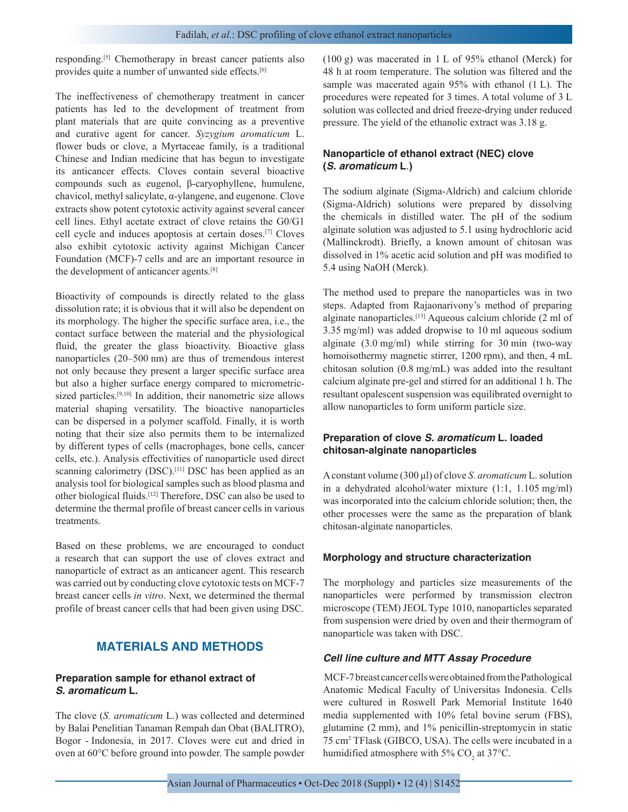responding.[5] Chemotherapy in breast cancer patients also provides quite a number of unwanted side effects.[6]

The ineffectiveness of chemotherapy treatment in cancer patients has led to the development of treatment from plant materials that are quite convincing as a preventive and curative agent for cancer. *Syzygium aromaticum* L. flower buds or clove, a Myrtaceae family, is a traditional Chinese and Indian medicine that has begun to investigate its anticancer effects. Cloves contain several bioactive compounds such as eugenol, β-caryophyllene, humulene, chavicol, methyl salicylate, α-ylangene, and eugenone. Clove extracts show potent cytotoxic activity against several cancer cell lines. Ethyl acetate extract of clove retains the G0/G1 cell cycle and induces apoptosis at certain doses.[7] Cloves also exhibit cytotoxic activity against Michigan Cancer Foundation (MCF)-7 cells and are an important resource in the development of anticancer agents.[8]

Bioactivity of compounds is directly related to the glass dissolution rate; it is obvious that it will also be dependent on its morphology. The higher the specific surface area, i.e., the contact surface between the material and the physiological fluid, the greater the glass bioactivity. Bioactive glass nanoparticles (20–500 nm) are thus of tremendous interest not only because they present a larger specific surface area but also a higher surface energy compared to micrometricsized particles.<sup>[9,10]</sup> In addition, their nanometric size allows material shaping versatility. The bioactive nanoparticles can be dispersed in a polymer scaffold. Finally, it is worth noting that their size also permits them to be internalized by different types of cells (macrophages, bone cells, cancer cells, etc.). Analysis effectivities of nanoparticle used direct scanning calorimetry (DSC).<sup>[11]</sup> DSC has been applied as an analysis tool for biological samples such as blood plasma and other biological fluids.[12] Therefore, DSC can also be used to determine the thermal profile of breast cancer cells in various treatments.

Based on these problems, we are encouraged to conduct a research that can support the use of cloves extract and nanoparticle of extract as an anticancer agent. This research was carried out by conducting clove cytotoxic tests on MCF-7 breast cancer cells *in vitro*. Next, we determined the thermal profile of breast cancer cells that had been given using DSC.

## **MATERIALS AND METHODS**

#### **Preparation sample for ethanol extract of**  *S. aromaticum* **L.**

The clove (*S. aromaticum* L.) was collected and determined by Balai Penelitian Tanaman Rempah dan Obat (BALITRO), Bogor - Indonesia, in 2017. Cloves were cut and dried in oven at 60°C before ground into powder. The sample powder (100 g) was macerated in 1 L of 95% ethanol (Merck) for 48 h at room temperature. The solution was filtered and the sample was macerated again 95% with ethanol (1 L). The procedures were repeated for 3 times. A total volume of 3 L solution was collected and dried freeze-drying under reduced pressure. The yield of the ethanolic extract was 3.18 g.

## **Nanoparticle of ethanol extract (NEC) clove (***S. aromaticum* **L***.***)**

The sodium alginate (Sigma-Aldrich) and calcium chloride (Sigma-Aldrich) solutions were prepared by dissolving the chemicals in distilled water. The pH of the sodium alginate solution was adjusted to 5.1 using hydrochloric acid (Mallinckrodt). Briefly, a known amount of chitosan was dissolved in 1% acetic acid solution and pH was modified to 5.4 using NaOH (Merck).

The method used to prepare the nanoparticles was in two steps. Adapted from Rajaonarivony's method of preparing alginate nanoparticles.[13] Aqueous calcium chloride (2 ml of 3.35 mg/ml) was added dropwise to 10 ml aqueous sodium alginate (3.0 mg/ml) while stirring for 30 min (two-way homoisothermy magnetic stirrer, 1200 rpm), and then, 4 mL chitosan solution (0.8 mg/mL) was added into the resultant calcium alginate pre-gel and stirred for an additional 1 h. The resultant opalescent suspension was equilibrated overnight to allow nanoparticles to form uniform particle size.

#### **Preparation of clove** *S. aromaticum* **L. loaded chitosan-alginate nanoparticles**

A constant volume (300 μl) of clove *S. aromaticum* L.solution in a dehydrated alcohol/water mixture (1:1, 1.105 mg/ml) was incorporated into the calcium chloride solution; then, the other processes were the same as the preparation of blank chitosan-alginate nanoparticles.

#### **Morphology and structure characterization**

The morphology and particles size measurements of the nanoparticles were performed by transmission electron microscope (TEM) JEOL Type 1010, nanoparticles separated from suspension were dried by oven and their thermogram of nanoparticle was taken with DSC.

#### *Cell line culture and MTT Assay Procedure*

 MCF-7 breast cancer cells were obtained from the Pathological Anatomic Medical Faculty of Universitas Indonesia. Cells were cultured in Roswell Park Memorial Institute 1640 media supplemented with 10% fetal bovine serum (FBS), glutamine (2 mm), and 1% penicillin-streptomycin in static 75 cm<sup>2</sup> TFlask (GIBCO, USA). The cells were incubated in a humidified atmosphere with 5%  $CO<sub>2</sub>$  at 37°C.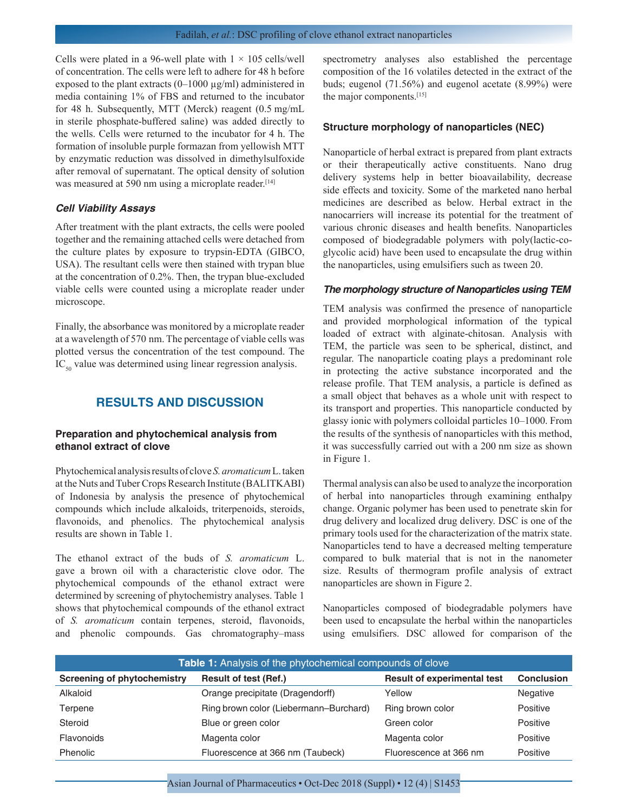Cells were plated in a 96-well plate with  $1 \times 105$  cells/well of concentration. The cells were left to adhere for 48 h before exposed to the plant extracts (0–1000 µg/ml) administered in media containing 1% of FBS and returned to the incubator for 48 h. Subsequently, MTT (Merck) reagent (0.5 mg/mL in sterile phosphate-buffered saline) was added directly to the wells. Cells were returned to the incubator for 4 h. The formation of insoluble purple formazan from yellowish MTT by enzymatic reduction was dissolved in dimethylsulfoxide after removal of supernatant. The optical density of solution was measured at 590 nm using a microplate reader.<sup>[14]</sup>

#### *Cell Viability Assays*

After treatment with the plant extracts, the cells were pooled together and the remaining attached cells were detached from the culture plates by exposure to trypsin-EDTA (GIBCO, USA). The resultant cells were then stained with trypan blue at the concentration of 0.2%. Then, the trypan blue-excluded viable cells were counted using a microplate reader under microscope.

Finally, the absorbance was monitored by a microplate reader at a wavelength of 570 nm. The percentage of viable cells was plotted versus the concentration of the test compound. The  $IC_{50}$  value was determined using linear regression analysis.

## **RESULTS AND DISCUSSION**

#### **Preparation and phytochemical analysis from ethanol extract of clove**

Phytochemical analysis results of clove *S. aromaticum* L. taken at the Nuts and Tuber Crops Research Institute (BALITKABI) of Indonesia by analysis the presence of phytochemical compounds which include alkaloids, triterpenoids, steroids, flavonoids, and phenolics. The phytochemical analysis results are shown in Table 1.

The ethanol extract of the buds of *S. aromaticum* L. gave a brown oil with a characteristic clove odor. The phytochemical compounds of the ethanol extract were determined by screening of phytochemistry analyses. Table 1 shows that phytochemical compounds of the ethanol extract of *S. aromaticum* contain terpenes, steroid, flavonoids, and phenolic compounds. Gas chromatography–mass spectrometry analyses also established the percentage composition of the 16 volatiles detected in the extract of the buds; eugenol (71.56%) and eugenol acetate (8.99%) were the major components.<sup>[15]</sup>

#### **Structure morphology of nanoparticles (NEC)**

Nanoparticle of herbal extract is prepared from plant extracts or their therapeutically active constituents. Nano drug delivery systems help in better bioavailability, decrease side effects and toxicity. Some of the marketed nano herbal medicines are described as below. Herbal extract in the nanocarriers will increase its potential for the treatment of various chronic diseases and health benefits. Nanoparticles composed of biodegradable polymers with poly(lactic-coglycolic acid) have been used to encapsulate the drug within the nanoparticles, using emulsifiers such as tween 20.

#### *The morphology structure of Nanoparticles using TEM*

TEM analysis was confirmed the presence of nanoparticle and provided morphological information of the typical loaded of extract with alginate-chitosan. Analysis with TEM, the particle was seen to be spherical, distinct, and regular. The nanoparticle coating plays a predominant role in protecting the active substance incorporated and the release profile. That TEM analysis, a particle is defined as a small object that behaves as a whole unit with respect to its transport and properties. This nanoparticle conducted by glassy ionic with polymers colloidal particles 10–1000. From the results of the synthesis of nanoparticles with this method, it was successfully carried out with a 200 nm size as shown in Figure 1.

Thermal analysis can also be used to analyze the incorporation of herbal into nanoparticles through examining enthalpy change. Organic polymer has been used to penetrate skin for drug delivery and localized drug delivery. DSC is one of the primary tools used for the characterization of the matrix state. Nanoparticles tend to have a decreased melting temperature compared to bulk material that is not in the nanometer size. Results of thermogram profile analysis of extract nanoparticles are shown in Figure 2.

Nanoparticles composed of biodegradable polymers have been used to encapsulate the herbal within the nanoparticles using emulsifiers. DSC allowed for comparison of the

| Table 1: Analysis of the phytochemical compounds of clove |                                        |                                    |                   |  |  |
|-----------------------------------------------------------|----------------------------------------|------------------------------------|-------------------|--|--|
| <b>Screening of phytochemistry</b>                        | <b>Result of test (Ref.)</b>           | <b>Result of experimental test</b> | <b>Conclusion</b> |  |  |
| Alkaloid                                                  | Orange precipitate (Dragendorff)       | Yellow                             | Negative          |  |  |
| Terpene                                                   | Ring brown color (Liebermann-Burchard) | Ring brown color                   | Positive          |  |  |
| Steroid                                                   | Blue or green color                    | Green color                        | Positive          |  |  |
| Flavonoids                                                | Magenta color                          | Magenta color                      | Positive          |  |  |
| Phenolic                                                  | Fluorescence at 366 nm (Taubeck)       | Fluorescence at 366 nm             | Positive          |  |  |

Asian Journal of Pharmaceutics • Oct-Dec 2018 (Suppl) • 12 (4) | S1453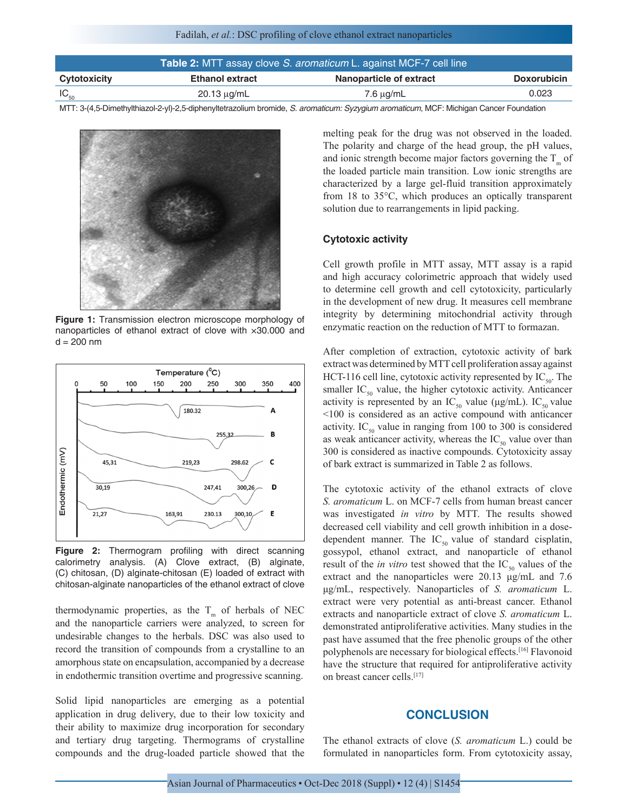| Table 2: MTT assay clove S. aromaticum L. against MCF-7 cell line |                        |                         |                    |  |
|-------------------------------------------------------------------|------------------------|-------------------------|--------------------|--|
| Cytotoxicity                                                      | <b>Ethanol extract</b> | Nanoparticle of extract | <b>Doxorubicin</b> |  |
| $IC_{50}$                                                         | $20.13 \mu q/mL$       | $7.6 \mu q/mL$          | 0.023              |  |

MTT: 3‑(4,5‑Dimethylthiazol‑2‑yl)‑2,5‑diphenyltetrazolium bromide, *S. aromaticum: Syzygium aromaticum*, MCF: Michigan Cancer Foundation



**Figure 1:** Transmission electron microscope morphology of nanoparticles of ethanol extract of clove with ×30.000 and  $d = 200$  nm



**Figure 2:** Thermogram profiling with direct scanning calorimetry analysis. (A) Clove extract, (B) alginate, (C) chitosan, (D) alginate-chitosan (E) loaded of extract with chitosan-alginate nanoparticles of the ethanol extract of clove

thermodynamic properties, as the  $T_m$  of herbals of NEC and the nanoparticle carriers were analyzed, to screen for undesirable changes to the herbals. DSC was also used to record the transition of compounds from a crystalline to an amorphous state on encapsulation, accompanied by a decrease in endothermic transition overtime and progressive scanning.

Solid lipid nanoparticles are emerging as a potential application in drug delivery, due to their low toxicity and their ability to maximize drug incorporation for secondary and tertiary drug targeting. Thermograms of crystalline compounds and the drug-loaded particle showed that the melting peak for the drug was not observed in the loaded. The polarity and charge of the head group, the pH values, and ionic strength become major factors governing the  $T_m$  of the loaded particle main transition. Low ionic strengths are characterized by a large gel-fluid transition approximately from 18 to 35°C, which produces an optically transparent solution due to rearrangements in lipid packing.

#### **Cytotoxic activity**

Cell growth profile in MTT assay, MTT assay is a rapid and high accuracy colorimetric approach that widely used to determine cell growth and cell cytotoxicity, particularly in the development of new drug. It measures cell membrane integrity by determining mitochondrial activity through enzymatic reaction on the reduction of MTT to formazan.

After completion of extraction, cytotoxic activity of bark extract was determined by MTT cell proliferation assay against HCT-116 cell line, cytotoxic activity represented by  $IC_{50}$ . The smaller  $IC_{50}$  value, the higher cytotoxic activity. Anticancer activity is represented by an  $IC_{50}$  value (μg/mL).  $IC_{50}$  value <100 is considered as an active compound with anticancer activity. IC<sub>50</sub> value in ranging from 100 to 300 is considered as weak anticancer activity, whereas the  $IC_{50}$  value over than 300 is considered as inactive compounds. Cytotoxicity assay of bark extract is summarized in Table 2 as follows.

The cytotoxic activity of the ethanol extracts of clove *S. aromaticum* L. on MCF-7 cells from human breast cancer was investigated *in vitro* by MTT. The results showed decreased cell viability and cell growth inhibition in a dosedependent manner. The  $IC_{50}$  value of standard cisplatin, gossypol, ethanol extract, and nanoparticle of ethanol result of the *in vitro* test showed that the  $IC_{50}$  values of the extract and the nanoparticles were 20.13 μg/mL and 7.6 μg/mL, respectively. Nanoparticles of *S. aromaticum* L. extract were very potential as anti-breast cancer. Ethanol extracts and nanoparticle extract of clove *S. aromaticum* L. demonstrated antiproliferative activities. Many studies in the past have assumed that the free phenolic groups of the other polyphenols are necessary for biological effects.[16] Flavonoid have the structure that required for antiproliferative activity on breast cancer cells.[17]

## **CONCLUSION**

The ethanol extracts of clove (*S. aromaticum* L.) could be formulated in nanoparticles form. From cytotoxicity assay,